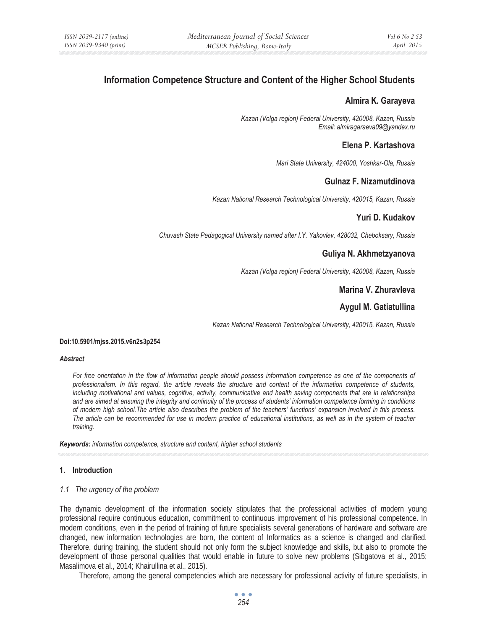# **Information Competence Structure and Content of the Higher School Students**

# **Almira K. Garayeva**

*Kazan (Volga region) Federal University, 420008, Kazan, Russia Email: almiragaraeva09@yandex.ru* 

# **Elena P. Kartashova**

*Mari State University, 424000, Yoshkar-Ola, Russia* 

# **Gulnaz F. Nizamutdinova**

*Kazan National Research Technological University, 420015, Kazan, Russia* 

# **Yuri D. Kudakov**

*Chuvash State Pedagogical University named after I.Y. Yakovlev, 428032, Cheboksary, Russia* 

# **Guliya N. Akhmetzyanova**

*Kazan (Volga region) Federal University, 420008, Kazan, Russia* 

# **Marina V. Zhuravleva**

# **Aygul M. Gatiatullina**

*Kazan National Research Technological University, 420015, Kazan, Russia* 

#### **Doi:10.5901/mjss.2015.v6n2s3p254**

#### *Abstract*

For free orientation in the flow of information people should possess information competence as one of the components of *professionalism. In this regard, the article reveals the structure and content of the information competence of students, including motivational and values, cognitive, activity, communicative and health saving components that are in relationships and are aimed at ensuring the integrity and continuity of the process of students' information competence forming in conditions of modern high school.The article also describes the problem of the teachers' functions' expansion involved in this process. The article can be recommended for use in modern practice of educational institutions, as well as in the system of teacher training.* 

*Keywords: information competence, structure and content, higher school students*

# **1. Introduction**

#### *1.1 The urgency of the problem*

The dynamic development of the information society stipulates that the professional activities of modern young professional require continuous education, commitment to continuous improvement of his professional competence. In modern conditions, even in the period of training of future specialists several generations of hardware and software are changed, new information technologies are born, the content of Informatics as a science is changed and clarified. Therefore, during training, the student should not only form the subject knowledge and skills, but also to promote the development of those personal qualities that would enable in future to solve new problems (Sibgatova et al., 2015; Masalimova et al., 2014; Khairullina et al., 2015).

Therefore, among the general competencies which are necessary for professional activity of future specialists, in

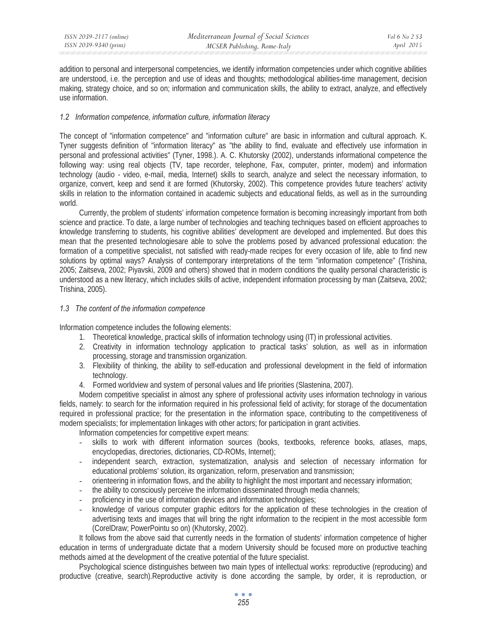addition to personal and interpersonal competencies, we identify information competencies under which cognitive abilities are understood, i.e. the perception and use of ideas and thoughts; methodological abilities-time management, decision making, strategy choice, and so on; information and communication skills, the ability to extract, analyze, and effectively use information.

# *1.2 Information competence, information culture, information literacy*

The concept of "information competence" and "information culture" are basic in information and cultural approach. K. Tyner suggests definition of "information literacy" as "the ability to find, evaluate and effectively use information in personal and professional activities" (Tyner, 1998.). A. C. Khutorsky (2002), understands informational competence the following way: using real objects (TV, tape recorder, telephone, Fax, computer, printer, modem) and information technology (audio - video, e-mail, media, Internet) skills to search, analyze and select the necessary information, to organize, convert, keep and send it are formed (Khutorsky, 2002). This competence provides future teachers' activity skills in relation to the information contained in academic subjects and educational fields, as well as in the surrounding world.

Currently, the problem of students' information competence formation is becoming increasingly important from both science and practice. To date, a large number of technologies and teaching techniques based on efficient approaches to knowledge transferring to students, his cognitive abilities' development are developed and implemented. But does this mean that the presented technologiesare able to solve the problems posed by advanced professional education: the formation of a competitive specialist, not satisfied with ready-made recipes for every occasion of life, able to find new solutions by optimal ways? Analysis of contemporary interpretations of the term "information competence" (Trishina, 2005; Zaitseva, 2002; Piyavski, 2009 and others) showed that in modern conditions the quality personal characteristic is understood as a new literacy, which includes skills of active, independent information processing by man (Zaitseva, 2002; Trishina, 2005).

#### *1.3 The content of the information competence*

Information competence includes the following elements:

- 1. Theoretical knowledge, practical skills of information technology using (IT) in professional activities.
- 2. Creativity in information technology application to practical tasks' solution, as well as in information processing, storage and transmission organization.
- 3. Flexibility of thinking, the ability to self-education and professional development in the field of information technology.
- 4. Formed worldview and system of personal values and life priorities (Slastenina, 2007).

Modern competitive specialist in almost any sphere of professional activity uses information technology in various fields, namely: to search for the information required in his professional field of activity; for storage of the documentation required in professional practice; for the presentation in the information space, contributing to the competitiveness of modern specialists; for implementation linkages with other actors; for participation in grant activities.

Information competencies for competitive expert means:

- skills to work with different information sources (books, textbooks, reference books, atlases, maps, encyclopedias, directories, dictionaries, CD-ROMs, Internet);
- independent search, extraction, systematization, analysis and selection of necessary information for educational problems' solution, its organization, reform, preservation and transmission;
- orienteering in information flows, and the ability to highlight the most important and necessary information;
- the ability to consciously perceive the information disseminated through media channels;
- proficiency in the use of information devices and information technologies;
- knowledge of various computer graphic editors for the application of these technologies in the creation of advertising texts and images that will bring the right information to the recipient in the most accessible form (CorelDraw; PowerPointu so on) (Khutorsky, 2002).

It follows from the above said that currently needs in the formation of students' information competence of higher education in terms of undergraduate dictate that a modern University should be focused more on productive teaching methods aimed at the development of the creative potential of the future specialist.

Psychological science distinguishes between two main types of intellectual works: reproductive (reproducing) and productive (creative, search).Reproductive activity is done according the sample, by order, it is reproduction, or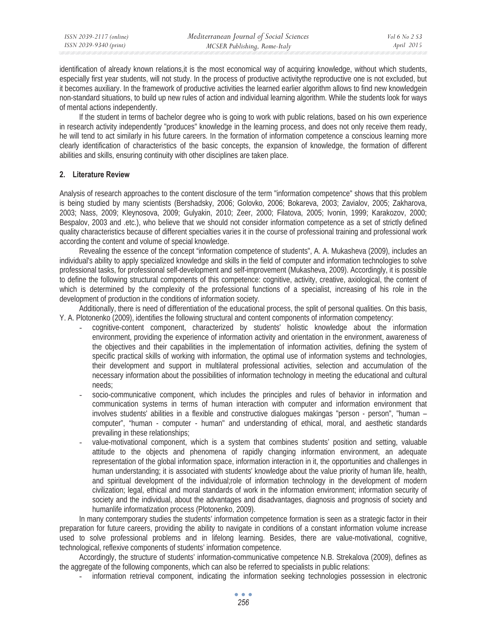identification of already known relations,it is the most economical way of acquiring knowledge, without which students, especially first year students, will not study. In the process of productive activitythe reproductive one is not excluded, but it becomes auxiliary. In the framework of productive activities the learned earlier algorithm allows to find new knowledgein non-standard situations, to build up new rules of action and individual learning algorithm. While the students look for ways of mental actions independently.

If the student in terms of bachelor degree who is going to work with public relations, based on his own experience in research activity independently "produces" knowledge in the learning process, and does not only receive them ready, he will tend to act similarly in his future careers. In the formation of information competence a conscious learning more clearly identification of characteristics of the basic concepts, the expansion of knowledge, the formation of different abilities and skills, ensuring continuity with other disciplines are taken place.

# **2. Literature Review**

Analysis of research approaches to the content disclosure of the term "information competence" shows that this problem is being studied by many scientists (Bershadsky, 2006; Golovko, 2006; Bokareva, 2003; Zavialov, 2005; Zakharova, 2003; Nass, 2009; Kleynosova, 2009; Gulyakin, 2010; Zeer, 2000; Filatova, 2005; Ivonin, 1999; Karakozov, 2000; Bespalov, 2003 and .etc.), who believe that we should not consider information competence as a set of strictly defined quality characteristics because of different specialties varies it in the course of professional training and professional work according the content and volume of special knowledge.

Revealing the essence of the concept "information competence of students", A. A. Mukasheva (2009), includes an individual's ability to apply specialized knowledge and skills in the field of computer and information technologies to solve professional tasks, for professional self-development and self-improvement (Mukasheva, 2009). Accordingly, it is possible to define the following structural components of this competence: cognitive, activity, creative, axiological, the content of which is determined by the complexity of the professional functions of a specialist, increasing of his role in the development of production in the conditions of information society.

Additionally, there is need of differentiation of the educational process, the split of personal qualities. On this basis, Y. A. Plotonenko (2009), identifies the following structural and content components of information competency:

- cognitive-content component, characterized by students' holistic knowledge about the information environment, providing the experience of information activity and orientation in the environment, awareness of the objectives and their capabilities in the implementation of information activities, defining the system of specific practical skills of working with information, the optimal use of information systems and technologies, their development and support in multilateral professional activities, selection and accumulation of the necessary information about the possibilities of information technology in meeting the educational and cultural needs;
- socio-communicative component, which includes the principles and rules of behavior in information and communication systems in terms of human interaction with computer and information environment that involves students' abilities in a flexible and constructive dialogues makingas "person - person", "human – computer", "human - computer - human" and understanding of ethical, moral, and aesthetic standards prevailing in these relationships;
- value-motivational component, which is a system that combines students' position and setting, valuable attitude to the objects and phenomena of rapidly changing information environment, an adequate representation of the global information space, information interaction in it, the opportunities and challenges in human understanding; it is associated with students' knowledge about the value priority of human life, health, and spiritual development of the individual;role of information technology in the development of modern civilization; legal, ethical and moral standards of work in the information environment; information security of society and the individual, about the advantages and disadvantages, diagnosis and prognosis of society and humanlife informatization process (Plotonenko, 2009).

In many contemporary studies the students' information competence formation is seen as a strategic factor in their preparation for future careers, providing the ability to navigate in conditions of a constant information volume increase used to solve professional problems and in lifelong learning. Besides, there are value-motivational, cognitive, technological, reflexive components of students' information competence.

Accordingly, the structure of students' information-communicative competence N.B. Strekalova (2009), defines as the aggregate of the following components, which can also be referred to specialists in public relations:

- information retrieval component, indicating the information seeking technologies possession in electronic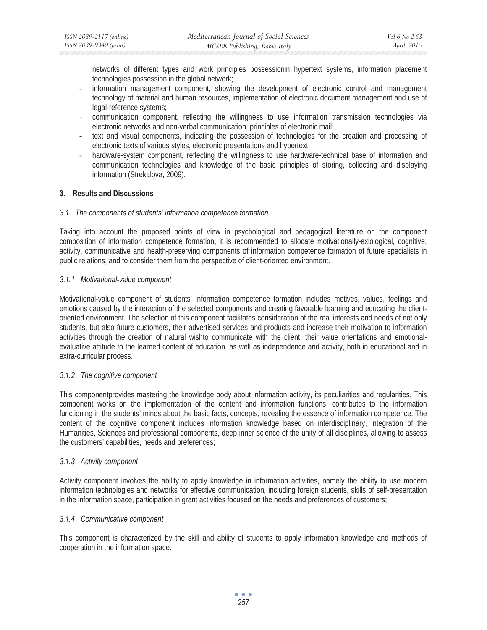networks of different types and work principles possessionin hypertext systems, information placement technologies possession in the global network;

- information management component, showing the development of electronic control and management technology of material and human resources, implementation of electronic document management and use of legal-reference systems;
- communication component, reflecting the willingness to use information transmission technologies via electronic networks and non-verbal communication, principles of electronic mail;
- text and visual components, indicating the possession of technologies for the creation and processing of electronic texts of various styles, electronic presentations and hypertext;
- hardware-system component, reflecting the willingness to use hardware-technical base of information and communication technologies and knowledge of the basic principles of storing, collecting and displaying information (Strekalova, 2009).

# **3. Results and Discussions**

# *3.1 The components of students' information competence formation*

Taking into account the proposed points of view in psychological and pedagogical literature on the component composition of information competence formation, it is recommended to allocate motivationally-axiological, cognitive, activity, communicative and health-preserving components of information competence formation of future specialists in public relations, and to consider them from the perspective of client-oriented environment.

# *3.1.1 Motivational-value component*

Motivational-value component of students' information competence formation includes motives, values, feelings and emotions caused by the interaction of the selected components and creating favorable learning and educating the clientoriented environment. The selection of this component facilitates consideration of the real interests and needs of not only students, but also future customers, their advertised services and products and increase their motivation to information activities through the creation of natural wishto communicate with the client, their value orientations and emotionalevaluative attitude to the learned content of education, as well as independence and activity, both in educational and in extra-curricular process.

# *3.1.2 The cognitive component*

This componentprovides mastering the knowledge body about information activity, its peculiarities and regularities. This component works on the implementation of the content and information functions, contributes to the information functioning in the students' minds about the basic facts, concepts, revealing the essence of information competence. The content of the cognitive component includes information knowledge based on interdisciplinary, integration of the Humanities, Sciences and professional components, deep inner science of the unity of all disciplines, allowing to assess the customers' capabilities, needs and preferences;

# *3.1.3 Activity component*

Activity component involves the ability to apply knowledge in information activities, namely the ability to use modern information technologies and networks for effective communication, including foreign students, skills of self-presentation in the information space, participation in grant activities focused on the needs and preferences of customers;

# *3.1.4 Communicative component*

This component is characterized by the skill and ability of students to apply information knowledge and methods of cooperation in the information space.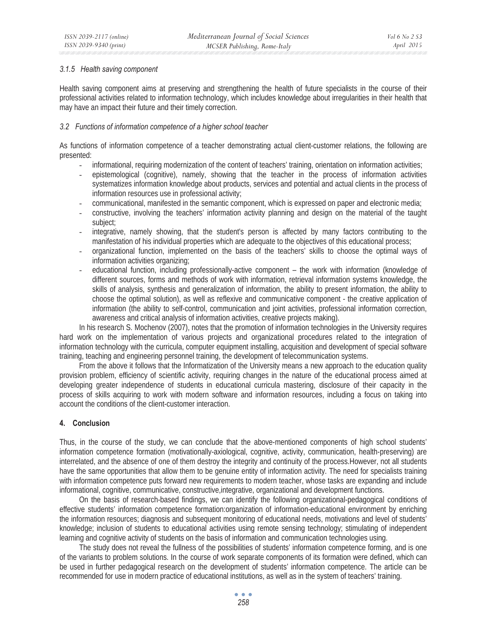### *3.1.5 Health saving component*

Health saving component aims at preserving and strengthening the health of future specialists in the course of their professional activities related to information technology, which includes knowledge about irregularities in their health that may have an impact their future and their timely correction.

### *3.2 Functions of information competence of a higher school teacher*

As functions of information competence of a teacher demonstrating actual client-customer relations, the following are presented:

- informational, requiring modernization of the content of teachers' training, orientation on information activities;
- epistemological (cognitive), namely, showing that the teacher in the process of information activities systematizes information knowledge about products, services and potential and actual clients in the process of information resources use in professional activity;
- communicational, manifested in the semantic component, which is expressed on paper and electronic media;
- constructive, involving the teachers' information activity planning and design on the material of the taught subject;
- integrative, namely showing, that the student's person is affected by many factors contributing to the manifestation of his individual properties which are adequate to the objectives of this educational process;
- organizational function, implemented on the basis of the teachers' skills to choose the optimal ways of information activities organizing;
- educational function, including professionally-active component the work with information (knowledge of different sources, forms and methods of work with information, retrieval information systems knowledge, the skills of analysis, synthesis and generalization of information, the ability to present information, the ability to choose the optimal solution), as well as reflexive and communicative component - the creative application of information (the ability to self-control, communication and joint activities, professional information correction, awareness and critical analysis of information activities, creative projects making).

In his research S. Mochenov (2007), notes that the promotion of information technologies in the University requires hard work on the implementation of various projects and organizational procedures related to the integration of information technology with the curricula, computer equipment installing, acquisition and development of special software training, teaching and engineering personnel training, the development of telecommunication systems.

From the above it follows that the Informatization of the University means a new approach to the education quality provision problem, efficiency of scientific activity, requiring changes in the nature of the educational process aimed at developing greater independence of students in educational curricula mastering, disclosure of their capacity in the process of skills acquiring to work with modern software and information resources, including a focus on taking into account the conditions of the client-customer interaction.

# **4. Conclusion**

Thus, in the course of the study, we can conclude that the above-mentioned components of high school students' information competence formation (motivationally-axiological, cognitive, activity, communication, health-preserving) are interrelated, and the absence of one of them destroy the integrity and continuity of the process.However, not all students have the same opportunities that allow them to be genuine entity of information activity. The need for specialists training with information competence puts forward new requirements to modern teacher, whose tasks are expanding and include informational, cognitive, communicative, constructive, integrative, organizational and development functions.

On the basis of research-based findings, we can identify the following organizational-pedagogical conditions of effective students' information competence formation:organization of information-educational environment by enriching the information resources; diagnosis and subsequent monitoring of educational needs, motivations and level of students' knowledge; inclusion of students to educational activities using remote sensing technology; stimulating of independent learning and cognitive activity of students on the basis of information and communication technologies using.

The study does not reveal the fullness of the possibilities of students' information competence forming, and is one of the variants to problem solutions. In the course of work separate components of its formation were defined, which can be used in further pedagogical research on the development of students' information competence. The article can be recommended for use in modern practice of educational institutions, as well as in the system of teachers' training.